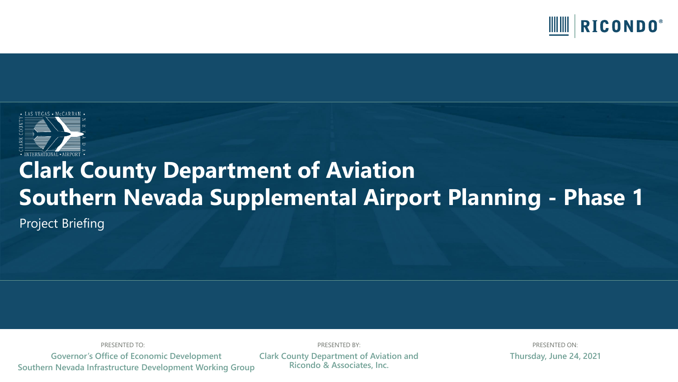



# **Clark County Department of Aviation Southern Nevada Supplemental Airport Planning - Phase 1**

Project Briefing

PRESENTED TO: PRESENTED BY: PRESENTED ON: **Governor's Office of Economic Development**

**Southern Nevada Infrastructure Development Working Group**

**Clark County Department of Aviation and Ricondo & Associates, Inc.**

**Thursday, June 24, 2021**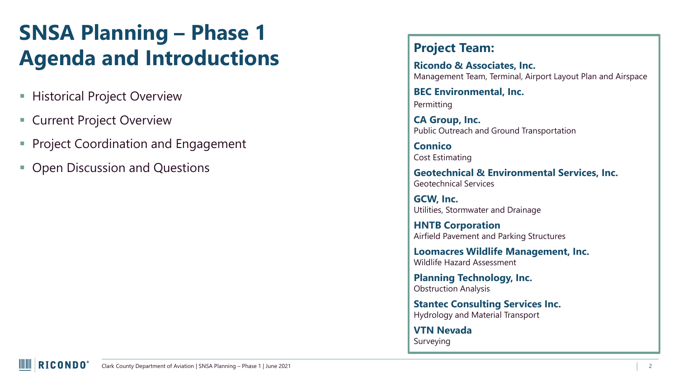#### **SNSA Planning – Phase 1 Agenda and Introductions**

- **EXECTE:** Historical Project Overview
- Current Project Overview
- **Project Coordination and Engagement**
- Open Discussion and Questions

#### **Project Team:**

**Ricondo & Associates, Inc.**  Management Team, Terminal, Airport Layout Plan and Airspace

**BEC Environmental, Inc.**  Permitting

**CA Group, Inc.**  Public Outreach and Ground Transportation

**Connico** Cost Estimating

**Geotechnical & Environmental Services, Inc.**  Geotechnical Services

**GCW, Inc.**  Utilities, Stormwater and Drainage

**HNTB Corporation**  Airfield Pavement and Parking Structures

**Loomacres Wildlife Management, Inc.**  Wildlife Hazard Assessment

**Planning Technology, Inc.**  Obstruction Analysis

**Stantec Consulting Services Inc.**  Hydrology and Material Transport

**VTN Nevada**  Surveying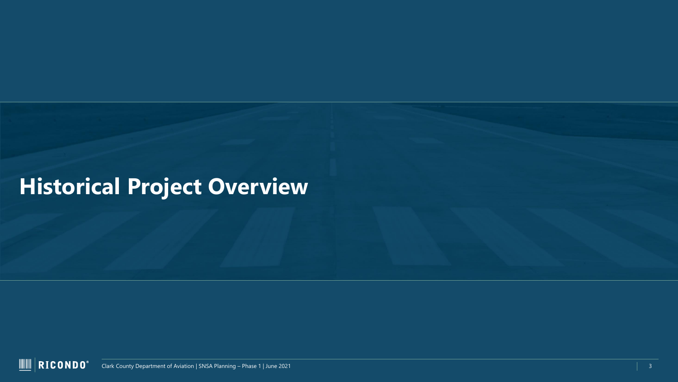## **Historical Project Overview**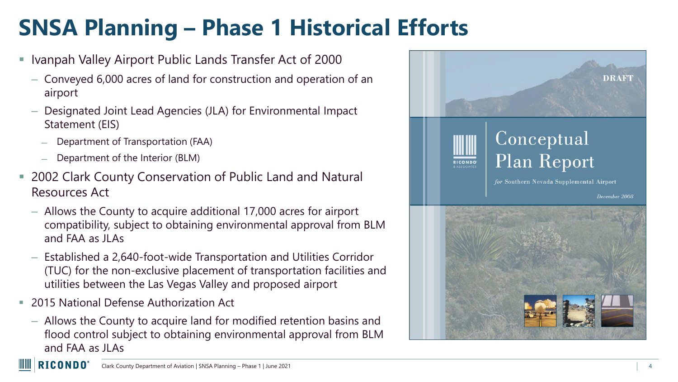# **SNSA Planning – Phase 1 Historical Efforts**

- Ivanpah Valley Airport Public Lands Transfer Act of 2000
	- Conveyed 6,000 acres of land for construction and operation of an airport
	- Designated Joint Lead Agencies (JLA) for Environmental Impact Statement (EIS)
		- ̶ Department of Transportation (FAA)
		- ̶ Department of the Interior (BLM)
- 2002 Clark County Conservation of Public Land and Natural Resources Act
	- Allows the County to acquire additional 17,000 acres for airport compatibility, subject to obtaining environmental approval from BLM and FAA as JLAs
	- Established a 2,640-foot-wide Transportation and Utilities Corridor (TUC) for the non-exclusive placement of transportation facilities and utilities between the Las Vegas Valley and proposed airport
- 2015 National Defense Authorization Act

**IIII III** 

– Allows the County to acquire land for modified retention basins and flood control subject to obtaining environmental approval from BLM and FAA as JLAs

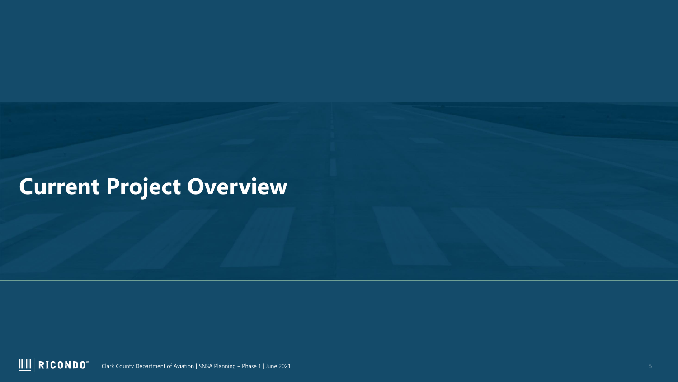## **Current Project Overview**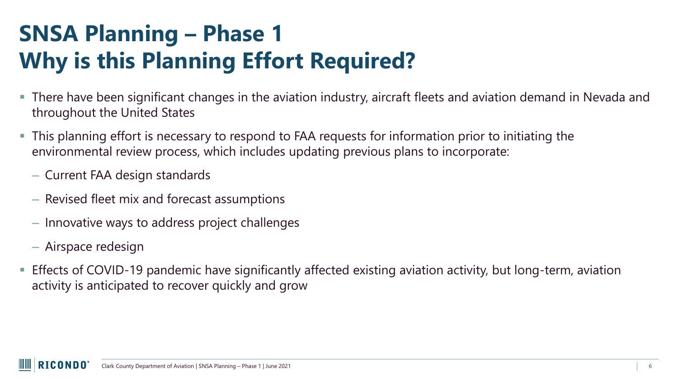# **SNSA Planning – Phase 1 Why is this Planning Effort Required?**

- There have been significant changes in the aviation industry, aircraft fleets and aviation demand in Nevada and throughout the United States
- This planning effort is necessary to respond to FAA requests for information prior to initiating the environmental review process, which includes updating previous plans to incorporate:
	- Current FAA design standards
	- Revised fleet mix and forecast assumptions
	- Innovative ways to address project challenges
	- Airspace redesign
- Effects of COVID-19 pandemic have significantly affected existing aviation activity, but long-term, aviation activity is anticipated to recover quickly and grow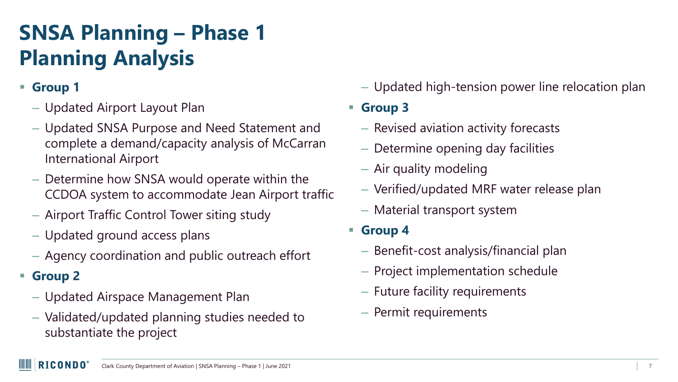# **SNSA Planning – Phase 1 Planning Analysis**

- **Group 1**
	- Updated Airport Layout Plan
	- Updated SNSA Purpose and Need Statement and complete a demand/capacity analysis of McCarran International Airport
	- Determine how SNSA would operate within the CCDOA system to accommodate Jean Airport traffic
	- Airport Traffic Control Tower siting study
	- Updated ground access plans
	- Agency coordination and public outreach effort
- **Group 2**
	- Updated Airspace Management Plan
	- Validated/updated planning studies needed to substantiate the project

– Updated high-tension power line relocation plan

▪ **Group 3**

- Revised aviation activity forecasts
- Determine opening day facilities
- Air quality modeling
- Verified/updated MRF water release plan
- Material transport system
- **Group 4**
	- Benefit-cost analysis/financial plan
	- Project implementation schedule
	- Future facility requirements
	- Permit requirements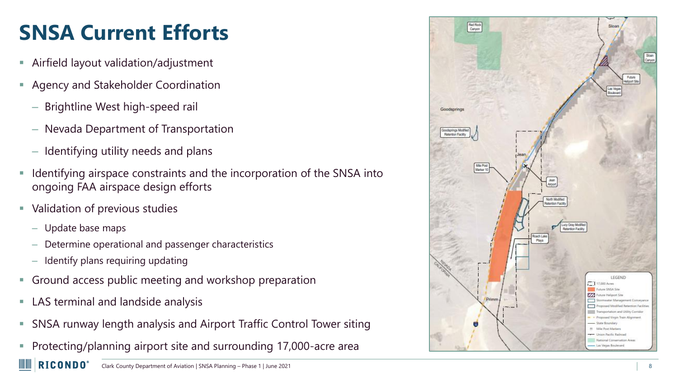# **SNSA Current Efforts**

- Airfield layout validation/adjustment
- Agency and Stakeholder Coordination
	- Brightline West high-speed rail
	- Nevada Department of Transportation
	- Identifying utility needs and plans
- Identifying airspace constraints and the incorporation of the SNSA into ongoing FAA airspace design efforts
- Validation of previous studies
	- Update base maps

WW

- Determine operational and passenger characteristics
- Identify plans requiring updating
- **Ground access public meeting and workshop preparation**
- LAS terminal and landside analysis
- SNSA runway length analysis and Airport Traffic Control Tower siting
- **Protecting/planning airport site and surrounding 17,000-acre area**

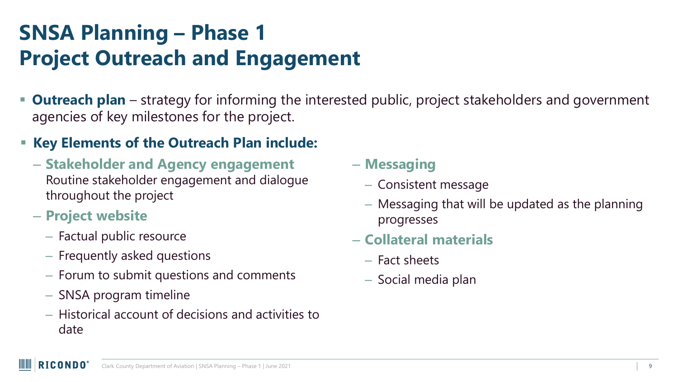### **SNSA Planning – Phase 1 Project Outreach and Engagement**

- **Dutreach plan** strategy for informing the interested public, project stakeholders and government agencies of key milestones for the project.
- **Key Elements of the Outreach Plan include:**
	- **Stakeholder and Agency engagement**  Routine stakeholder engagement and dialogue throughout the project
	- **Project website** 
		- Factual public resource
		- Frequently asked questions
		- Forum to submit questions and comments
		- SNSA program timeline
		- Historical account of decisions and activities to date

– **Messaging**

- Consistent message
- Messaging that will be updated as the planning progresses
- **Collateral materials**
	- Fact sheets
	- Social media plan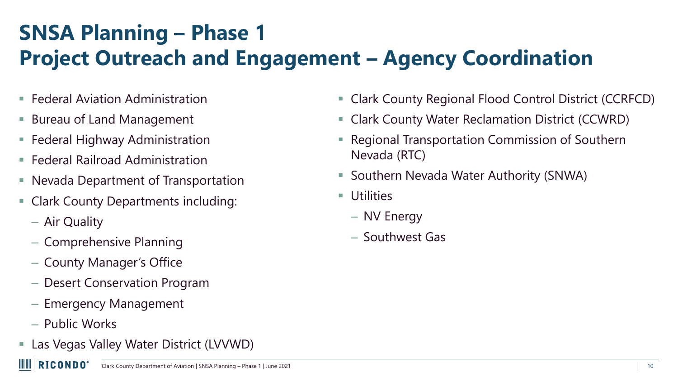# **SNSA Planning – Phase 1 Project Outreach and Engagement – Agency Coordination**

- **Federal Aviation Administration**
- **Bureau of Land Management**
- Federal Highway Administration
- **Federal Railroad Administration**
- Nevada Department of Transportation
- Clark County Departments including:
	- Air Quality
	- Comprehensive Planning
	- County Manager's Office
	- Desert Conservation Program
	- Emergency Management
	- Public Works

WW

**E** Las Vegas Valley Water District (LVVWD)

- Clark County Regional Flood Control District (CCRFCD)
- Clark County Water Reclamation District (CCWRD)
- Regional Transportation Commission of Southern Nevada (RTC)
- Southern Nevada Water Authority (SNWA)
- Utilities
	- NV Energy
	- Southwest Gas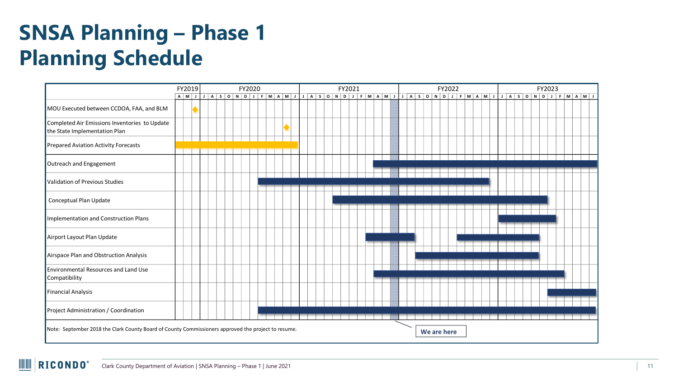#### **SNSA Planning – Phase 1 Planning Schedule**

|                                                                                |     | FY2019<br>FY2020 |  |  |  |  |  |  |  |  | FY2021 |  |  |  |  |                                                                                                                    |  |  |                                                                                                          | FY2022 |  |  |  |  |  |  |  |  |  | FY2023 |  |  |  |  |  |  |  |  |  |
|--------------------------------------------------------------------------------|-----|------------------|--|--|--|--|--|--|--|--|--------|--|--|--|--|--------------------------------------------------------------------------------------------------------------------|--|--|----------------------------------------------------------------------------------------------------------|--------|--|--|--|--|--|--|--|--|--|--------|--|--|--|--|--|--|--|--|--|
|                                                                                | A M |                  |  |  |  |  |  |  |  |  |        |  |  |  |  |                                                                                                                    |  |  | I A SOND I F M A M I J A SOND I F M A M I J A SOND I F M A M I J A SOND I F M A M I J A SOND I F M A M I |        |  |  |  |  |  |  |  |  |  |        |  |  |  |  |  |  |  |  |  |
| MOU Executed between CCDOA, FAA, and BLM                                       |     |                  |  |  |  |  |  |  |  |  |        |  |  |  |  |                                                                                                                    |  |  |                                                                                                          |        |  |  |  |  |  |  |  |  |  |        |  |  |  |  |  |  |  |  |  |
| Completed Air Emissions Inventories to Update<br>the State Implementation Plan |     |                  |  |  |  |  |  |  |  |  |        |  |  |  |  |                                                                                                                    |  |  |                                                                                                          |        |  |  |  |  |  |  |  |  |  |        |  |  |  |  |  |  |  |  |  |
| Prepared Aviation Activity Forecasts                                           |     |                  |  |  |  |  |  |  |  |  |        |  |  |  |  |                                                                                                                    |  |  |                                                                                                          |        |  |  |  |  |  |  |  |  |  |        |  |  |  |  |  |  |  |  |  |
| Outreach and Engagement                                                        |     |                  |  |  |  |  |  |  |  |  |        |  |  |  |  |                                                                                                                    |  |  |                                                                                                          |        |  |  |  |  |  |  |  |  |  |        |  |  |  |  |  |  |  |  |  |
| Validation of Previous Studies                                                 |     |                  |  |  |  |  |  |  |  |  |        |  |  |  |  |                                                                                                                    |  |  |                                                                                                          |        |  |  |  |  |  |  |  |  |  |        |  |  |  |  |  |  |  |  |  |
| Conceptual Plan Update                                                         |     |                  |  |  |  |  |  |  |  |  |        |  |  |  |  |                                                                                                                    |  |  |                                                                                                          |        |  |  |  |  |  |  |  |  |  |        |  |  |  |  |  |  |  |  |  |
| Implementation and Construction Plans                                          |     |                  |  |  |  |  |  |  |  |  |        |  |  |  |  |                                                                                                                    |  |  |                                                                                                          |        |  |  |  |  |  |  |  |  |  |        |  |  |  |  |  |  |  |  |  |
| Airport Layout Plan Update                                                     |     |                  |  |  |  |  |  |  |  |  |        |  |  |  |  |                                                                                                                    |  |  |                                                                                                          |        |  |  |  |  |  |  |  |  |  |        |  |  |  |  |  |  |  |  |  |
| Airspace Plan and Obstruction Analysis                                         |     |                  |  |  |  |  |  |  |  |  |        |  |  |  |  |                                                                                                                    |  |  |                                                                                                          |        |  |  |  |  |  |  |  |  |  |        |  |  |  |  |  |  |  |  |  |
| Environmental Resources and Land Use<br>Compatibility                          |     |                  |  |  |  |  |  |  |  |  |        |  |  |  |  |                                                                                                                    |  |  |                                                                                                          |        |  |  |  |  |  |  |  |  |  |        |  |  |  |  |  |  |  |  |  |
| <b>Financial Analysis</b>                                                      |     |                  |  |  |  |  |  |  |  |  |        |  |  |  |  |                                                                                                                    |  |  |                                                                                                          |        |  |  |  |  |  |  |  |  |  |        |  |  |  |  |  |  |  |  |  |
| Project Administration / Coordination                                          |     |                  |  |  |  |  |  |  |  |  |        |  |  |  |  |                                                                                                                    |  |  |                                                                                                          |        |  |  |  |  |  |  |  |  |  |        |  |  |  |  |  |  |  |  |  |
|                                                                                |     |                  |  |  |  |  |  |  |  |  |        |  |  |  |  | Note: September 2018 the Clark County Board of County Commissioners approved the project to resume.<br>We are here |  |  |                                                                                                          |        |  |  |  |  |  |  |  |  |  |        |  |  |  |  |  |  |  |  |  |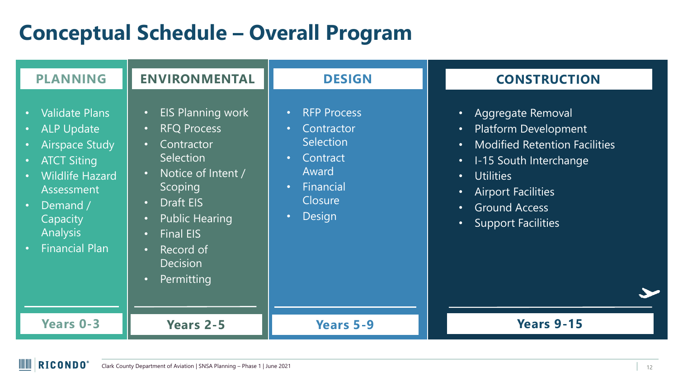### **Conceptual Schedule – Overall Program**

| <b>PLANNING</b>                                                                                                                                                                                                                                                                                  | <b>ENVIRONMENTAL</b>                                                                                                                                                                                                                                                                                                                    | <b>DESIGN</b>                                                                                                                                                                | <b>CONSTRUCTION</b>                                                                                                                                                                                                                                                                                                              |
|--------------------------------------------------------------------------------------------------------------------------------------------------------------------------------------------------------------------------------------------------------------------------------------------------|-----------------------------------------------------------------------------------------------------------------------------------------------------------------------------------------------------------------------------------------------------------------------------------------------------------------------------------------|------------------------------------------------------------------------------------------------------------------------------------------------------------------------------|----------------------------------------------------------------------------------------------------------------------------------------------------------------------------------------------------------------------------------------------------------------------------------------------------------------------------------|
| <b>Validate Plans</b><br>$\bullet$<br><b>ALP Update</b><br>$\bullet$<br><b>Airspace Study</b><br>$\bullet$<br><b>ATCT Siting</b><br>$\bullet$<br><b>Wildlife Hazard</b><br>$\bullet$<br>Assessment<br>Demand /<br>$\bullet$<br>Capacity<br><b>Analysis</b><br><b>Financial Plan</b><br>$\bullet$ | <b>EIS Planning work</b><br>$\bullet$<br><b>RFQ Process</b><br>$\bullet$<br>Contractor<br>$\bullet$<br>Selection<br>Notice of Intent /<br>$\bullet$<br>Scoping<br>Draft EIS<br>$\bullet$<br><b>Public Hearing</b><br>$\bullet$<br><b>Final EIS</b><br>$\bullet$<br>Record of<br>$\bullet$<br><b>Decision</b><br>Permitting<br>$\bullet$ | <b>RFP Process</b><br>$\bullet$<br>Contractor<br>$\bullet$<br><b>Selection</b><br>Contract<br>$\bullet$<br>Award<br>Financial<br>$\bullet$<br>Closure<br>Design<br>$\bullet$ | Aggregate Removal<br>$\bullet$<br><b>Platform Development</b><br>$\bullet$<br><b>Modified Retention Facilities</b><br>$\bullet$<br>I-15 South Interchange<br>$\bullet$<br><b>Utilities</b><br>$\bullet$<br><b>Airport Facilities</b><br>$\bullet$<br><b>Ground Access</b><br>$\bullet$<br><b>Support Facilities</b><br>$\bullet$ |
| <b>Years 0-3</b>                                                                                                                                                                                                                                                                                 | <b>Years 2-5</b>                                                                                                                                                                                                                                                                                                                        | <b>Years 5-9</b>                                                                                                                                                             | <b>Years 9-15</b>                                                                                                                                                                                                                                                                                                                |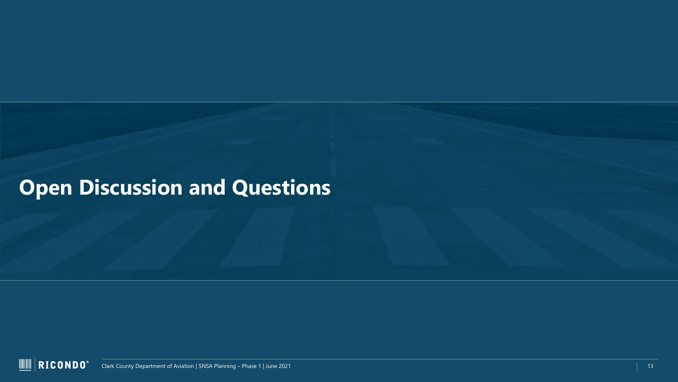### **Open Discussion and Questions**